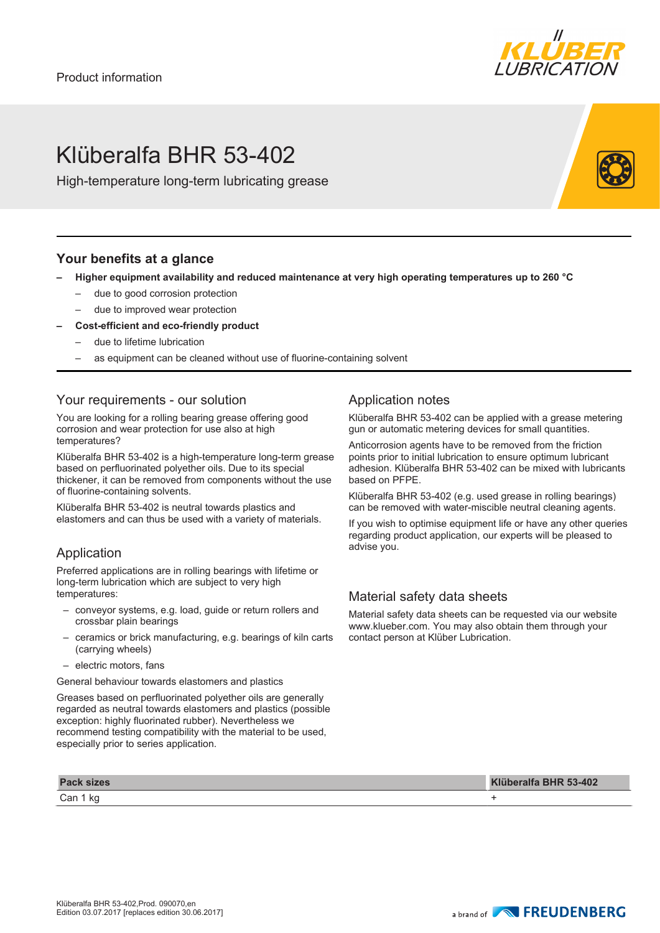

## Klüberalfa BHR 53-402

High-temperature long-term lubricating grease

### **Your benefits at a glance**

- **– Higher equipment availability and reduced maintenance at very high operating temperatures up to 260 °C**
	- due to good corrosion protection
	- due to improved wear protection
- **– Cost-efficient and eco-friendly product**
	- due to lifetime lubrication
	- as equipment can be cleaned without use of fluorine-containing solvent

#### Your requirements - our solution

You are looking for a rolling bearing grease offering good corrosion and wear protection for use also at high temperatures?

Klüberalfa BHR 53-402 is a high-temperature long-term grease based on perfluorinated polyether oils. Due to its special thickener, it can be removed from components without the use of fluorine-containing solvents.

Klüberalfa BHR 53-402 is neutral towards plastics and elastomers and can thus be used with a variety of materials.

#### Application

Preferred applications are in rolling bearings with lifetime or long-term lubrication which are subject to very high temperatures:

- conveyor systems, e.g. load, guide or return rollers and crossbar plain bearings
- ceramics or brick manufacturing, e.g. bearings of kiln carts (carrying wheels)
- electric motors, fans

General behaviour towards elastomers and plastics

Greases based on perfluorinated polyether oils are generally regarded as neutral towards elastomers and plastics (possible exception: highly fluorinated rubber). Nevertheless we recommend testing compatibility with the material to be used, especially prior to series application.

Can 1 kg +

#### Application notes

Klüberalfa BHR 53-402 can be applied with a grease metering gun or automatic metering devices for small quantities.

Anticorrosion agents have to be removed from the friction points prior to initial lubrication to ensure optimum lubricant adhesion. Klüberalfa BHR 53-402 can be mixed with lubricants based on PFPE.

Klüberalfa BHR 53-402 (e.g. used grease in rolling bearings) can be removed with water-miscible neutral cleaning agents.

If you wish to optimise equipment life or have any other queries regarding product application, our experts will be pleased to advise you.

#### Material safety data sheets

Material safety data sheets can be requested via our website www.klueber.com. You may also obtain them through your contact person at Klüber Lubrication.

**Pack sizes Klüberalfa BHR 53-402**